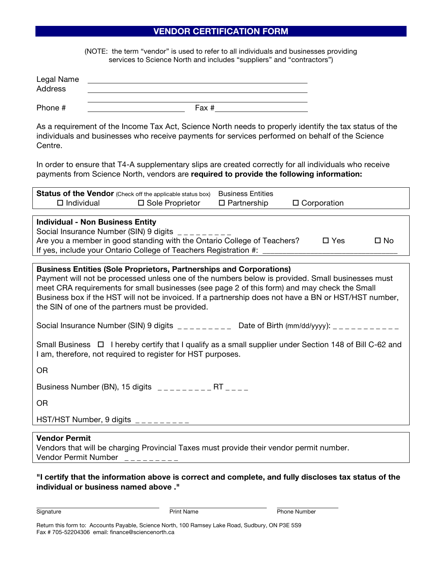## **VENDOR CERTIFICATION FORM**

(NOTE: the term "vendor" is used to refer to all individuals and businesses providing services to Science North and includes "suppliers" and "contractors")

| Legal Name<br>Address |       |
|-----------------------|-------|
| Phone #               | Fax # |

As a requirement of the Income Tax Act, Science North needs to properly identify the tax status of the individuals and businesses who receive payments for services performed on behalf of the Science Centre.

In order to ensure that T4-A supplementary slips are created correctly for all individuals who receive payments from Science North, vendors are **required to provide the following information:**

|                                                                                                                                                                                                                                                                                                                                                                                                                                            | Status of the Vendor (Check off the applicable status box)<br>$\Box$ Individual $\Box$ Sole Proprietor | <b>Business Entities</b><br>$\Box$ Partnership | $\Box$ Corporation |  |  |  |
|--------------------------------------------------------------------------------------------------------------------------------------------------------------------------------------------------------------------------------------------------------------------------------------------------------------------------------------------------------------------------------------------------------------------------------------------|--------------------------------------------------------------------------------------------------------|------------------------------------------------|--------------------|--|--|--|
| <b>Individual - Non Business Entity</b><br>Social Insurance Number (SIN) 9 digits<br>Are you a member in good standing with the Ontario College of Teachers?<br>$\square$ Yes<br>$\square$ No<br>If yes, include your Ontario College of Teachers Registration #: _                                                                                                                                                                        |                                                                                                        |                                                |                    |  |  |  |
| <b>Business Entities (Sole Proprietors, Partnerships and Corporations)</b><br>Payment will not be processed unless one of the numbers below is provided. Small businesses must<br>meet CRA requirements for small businesses (see page 2 of this form) and may check the Small<br>Business box if the HST will not be invoiced. If a partnership does not have a BN or HST/HST number,<br>the SIN of one of the partners must be provided. |                                                                                                        |                                                |                    |  |  |  |
| Social Insurance Number (SIN) 9 digits $\frac{1}{2}$<br>Date of Birth (mm/dd/yyyy): $\frac{1}{2}$ = $\frac{1}{2}$ = $\frac{1}{2}$ = $\frac{1}{2}$ = $\frac{1}{2}$ = $\frac{1}{2}$ = $\frac{1}{2}$ = $\frac{1}{2}$                                                                                                                                                                                                                          |                                                                                                        |                                                |                    |  |  |  |
| Small Business $\Box$ I hereby certify that I qualify as a small supplier under Section 148 of Bill C-62 and<br>I am, therefore, not required to register for HST purposes.                                                                                                                                                                                                                                                                |                                                                                                        |                                                |                    |  |  |  |

OR

Business Number (BN), 15 digits \_ \_ \_ \_ \_ \_ \_ \_ \_ RT \_ \_ \_ \_

OR

HST/HST Number, 9 digits

## **Vendor Permit**

Vendors that will be charging Provincial Taxes must provide their vendor permit number. Vendor Permit Number

**"I certify that the information above is correct and complete, and fully discloses tax status of the individual or business named above ."**

Signature **Print Name** Print Name Phone Number

Return this form to: Accounts Payable, Science North, 100 Ramsey Lake Road, Sudbury, ON P3E 5S9 Fax # 705-52204306 email: finance@sciencenorth.ca